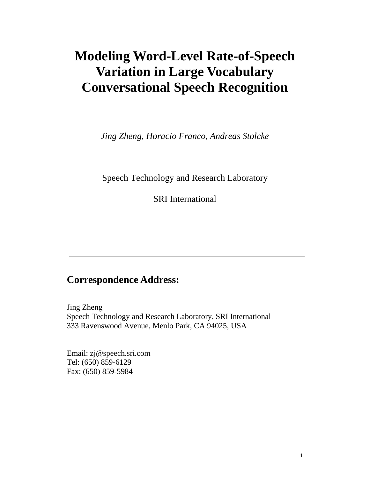# **Modeling Word-Level Rate-of-Speech Variation in Large Vocabulary Conversational Speech Recognition**

*Jing Zheng, Horacio Franco, Andreas Stolcke* 

Speech Technology and Research Laboratory

**SRIInternational** 

# **Correspondence Address:**

**Jing Zheng** Speech Technology and Research Laboratory, SRI Inter national 333 Ravenswood Avenue, Menlo Park, CA 94025, USA

Email: zj@speech.sri.com Tel: (650) 859-6129 Fax: (650) 859-5984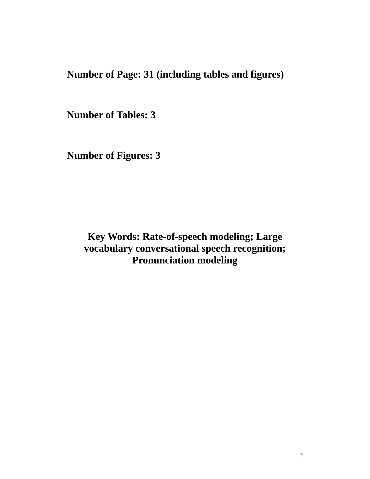**Number of Page: 31 (including tables and figures)** 

Number of Tables: 3

**NumberofFigures:3** 

**Key Words: Rate-of-speech modeling; Large vocabulary conversational speech recognition; Pronunciation modeling**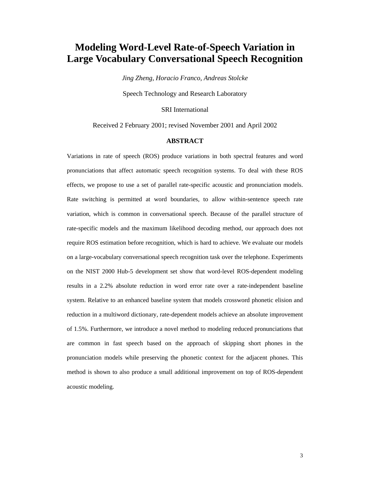# **Modeling Word-Level Rate-of-Speech Variation in Large Vocabulary Conversational Speech Recognition**

*Jing Zheng, Horacio Franco, Andreas Stolcke* 

Speech Technology and Research Laboratory

**SRIInternational** 

Received 2 February 2001; revised November 2001 and April 2002

### **ABSTRACT**

Variations in rate of speech (ROS) produce variatio ns in both spectral features and word pronunciations that affect automatic speech recogni tion systems. To deal with these ROS effects, we propose to use a set of parallel rate-s pecific acoustic and pronunciation models. Rate switching is permitted at word boundaries, to allow within-sentence speech rate variation, which is common in conversational speech . Because of the parallel structure of rate-specific models and the maximum likelihood dec oding method, our approach does not require ROS estimation before recognition, which is hard to achieve. We evaluate our models on a large-vocabulary conversational speech recogni tion task over the telephone. Experiments on the NIST 2000 Hub-5 development set show that wo rd-level ROS-dependent modeling results in a 2.2% absolute reduction in word error rate over a rate-independent baseline system. Relative to an enhanced baseline system tha t models crossword phonetic elision and reduction in a multiword dictionary, rate-dependent models achieve an absolute improvement of 1.5%. Furthermore, we introduce a novel method to modeling reduced pronunciations that are common in fast speech based on the approach of skipping short phones in the pronunciation models while preserving the phonetic context for the adjac ent phones. This method is shown to also produce a small additional improvement on top of ROS-dependent acoustic modeling.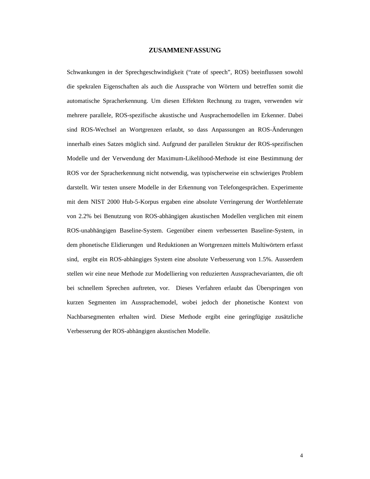## **ZUSAMMENFASSUNG**

Schwankungen in der Sprechgeschwindigkeit ("rate of speech", ROS) beeinflussen sowohl die spekralen Eigenschaften als auch die Aussprache von Wörtern und betreffen somit die automatische Spracherkennung. Um diesen Effekten Re chnung zu tragen, verwenden wir mehrere parallele, ROS-spezifische akustische und A usprachemodellen im Erkenner. Dabei sind ROS-Wechsel an Wortgrenzen erlaubt, so dass An passungen an ROS-Änderungen innerhalbeines Satzes möglich sind. Aufgrund der p arallelen Struktur der ROS-spezifischen Modelle und der Verwendung der Maximum-Likelihood-M ethode ist eine Bestimmung der ROS vor der Spracherkennung nicht notwendig, was ty pischerweise ein schwieriges Problem darstellt. Wir testen unsere Modelle in der Erkennu ng von Telefongesprächen. Experimente mit dem NIST 2000 Hub-5-Korpus ergaben eine absolut e Verringerung der Wortfehlerrate von 2.2% bei Benutzung von ROS-abhängigen akustisch en Modellen verglichen mit einem ROS-unabhängigen Baseline-System. Gegenüber einem v erbesserten Baseline-System, in dem phonetische Elidierungen und Reduktionen an Wo rtgrenzen mittels Multiwörtern erfasst sind, ergibt ein ROS-abhängiges System eine absolu te Verbesserung von 1.5%. Ausserdem stellen wir eine neue Methode zur Modelliering von reduzierten Aussprachevarianten, die oft bei schnellem Sprechen auftreten, vor. Dieses Verf ahren erlaubt das Überspringen von kurzen Segmenten im Aussprachemodel, wobei jedoch d er phonetische Kontext von Nachbarsegmenten erhalten wird. Diese Methode ergib t eine geringfügige zusätzliche Verbesserung der ROS-abhängigen akustischen Modelle.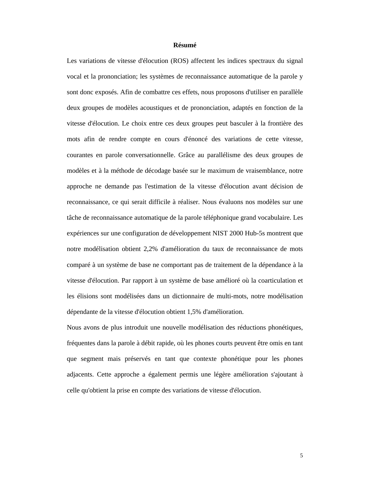### **Résumé**

Les variations de vitesse d'élocution (ROS) affecte nt les indices spectraux du signal vocal et la prononciation; les systèmes de reconnai ssance automatique de la parole y sont donc exposés. Afin de combattre ces effets, no us proposons d'utiliser en parallèle deux groupes de modèles acoustiques et de prononcia tion, adaptés en fonction de la vitesse d'élocution. Le choix entre ces deux groupe s peut basculer à la frontière des mots afin de rendre compte en cours d'énoncé des va riations de cette vitesse, courantes en parole conversationnelle. Grâce au par allélisme des deux groupes de modèles et à la méthode de décodage basée sur le ma ximum de vraisemblance, notre approche ne demande pas l'estimation de la vitesse d'élocution avant décision de reconnaissance, ce qui serait difficile à réaliser. Nous évaluons nos modèles sur une tâche de reconnaissance automatique de la parole té léphonique grand vocabulaire. Les expériences sur une configuration de développement NIST 2000 Hub-5s montrent que notre modélisation obtient 2,2% d'amélioration du t aux de reconnaissance de mots comparé à un système de base ne comportant pas de t raitement de la dépendance à la vitesse d'élocution. Par rapport à un système de ba se amélioré où la coarticulation et les élisions sont modélisées dans un dictionnaire d e multi-mots, notre modélisation dépendante de la vitesse d'élocution obtient 1,5% d 'amélioration. celle qu'obtient la prise en compte des variations de vitesse d'élocution.

Nous avons de plus introduit une nouvelle modélisat ion des réductions phonétiques, fréquentes dans la parole à débit rapide, où les ph ones courts peuvent être omis en tant que segment mais préservés en tant que contexte pho nétique pour les phones adjacents. Cette approche a également permis une lé gère amélioration s'ajoutant à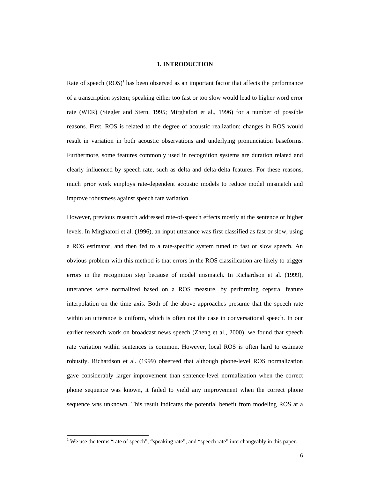#### **1. INTRODUCTION**

Rate of speech (ROS) <sup>1</sup> has been observed as an important factor that affe cts the performance of a transcription system; speaking either too fast ortooslow would lead to higher word error rate (WER) (Siegler and Stern, 1995; Mirghafori et al., 1996) for a number of possible reasons. First, ROS is related to the degree of aco ustic realization; changes in ROS would result in variation in both acoustic observations a nd underlying pronunciation baseforms. Furthermore, some features commonly used in recogni tion systems are duration related and clearly influenced by speech rate, such as delta an d delta-delta features. For these reasons, much prior work employs rate-dependent acoustic mod els to reduce model mismatch and improverobustnessagainst speech rate variation.

However, previous research addressed rate-of-speech effects mostly at the sentence or higher levels. In Mirghaforietal. (1996), an inpututter ance was first classified as fast or slow, using a ROS estimator, and then fed to a rate-specific sy stem tuned to fast or slow speech. An obvious problem with this method is that errors in the ROS classification are likely to trigger errors in the recognition step because of model mis match. In Richardson et al. (1999), utterances were normalized based on a ROS measure, by performing cepstral feature interpolation on the time axis. Both of the above a pproaches presume that the speech rate within an utterance is uniform, which is often not the case in conversational speech. In our earlier research work on broadcast news speech (Zhe ng et al., 2000), we found that speech rate variation within sentences is common. However, local ROS is often hard to estimate robustly. Richardson et al. (1999) observed that al though phone-level ROS normalization gave considerably larger improvement than sentence- level normalization when the correct phone sequence was known, it failed to yield any im provement when the correct phone sequence was unknown. This result indicates the pot ential benefit from modeling ROS at a

֘֒

<sup>&</sup>lt;sup>1</sup>We use the terms "rate of speech", "speaking rate" , and "speech rate "interchangeably in this paper.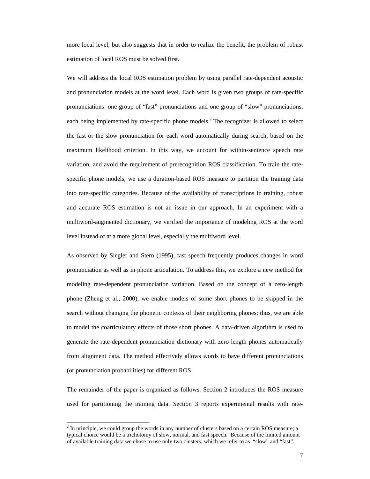more local level, but also suggests that in order two realize the benefit, the problem of robust estimation of local ROS must be solved first.

We will address the local ROS estimation problem by using parallel rate-dependent acoustic and pronunciation models at the word level. Each wo rd is given two groups of rate-specific pronunciations: one group of "fast" pronunciations and one group of "slow" pronunciations, each being implemented by rate-specific phone model the fast or the slow pronunciation for each word au tomatically during search, based on the maximum likelihood criterion. In this way, we accou nt for within-sentence speech rate variation, and avoid the requirement of prerecognit ion ROS classification. To train the ratespecific phone models, we use a duration-based ROS measure to partition the training data into rate-specific categories. Because of the avail ability of transcriptions in training, robust and accurate ROS estimation is not an issue in our approach. In an experiment with a multiword-augmented dictionary, we verified the imp ortance of modeling ROS at the word levelinstead of at a more globallevel, especially the multiword level.

As observed by Siegler and Stern (1995), fast speec h frequently produces changes in word pronunciation as well as in phone articulation. To address this, we explore a new method for modeling rate-dependent pronunciation variation. Ba sed on the concept of a zero-length phone (Zheng et al., 2000), we enable models of som e short phones to be skipped in the search without changing the phonetic contexts of the eirneighboring phones; thus, we are able to model the coarticulatory effects of those short phones. A data-driven algorithm is used to generate the rate-dependent pronunciation dictionar y with zero-length phones automatically from alignment data. The method effectively allows words to have different pronunciations (or pronunciation probabilities) for different ROS.

s.<sup>2</sup>The recognizer is allowed to select

The remainder of the paper is organized as follows. Section 2 introduces the ROS measure used for partitioning the training data. Section 3 reports experimental results with rate-

֘֒

<sup>&</sup>lt;sup>2</sup>Inprinciple, we could group the words in any numb erof clusters based on a certain ROS measure; a typical choice would be a trichotomy of slow, norma l, and fast speech. Because of the limited amount of available training data we chose to use only two clusters, which we refer to as "slow" and "fast".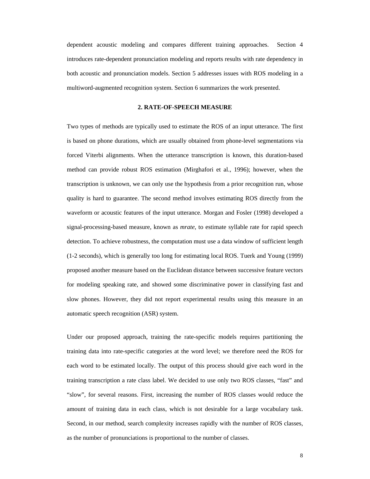dependent acoustic modeling and compares different training approaches. Section 4 introduces rate-dependent pronunciation modeling an dreports results with rate dependency in both acoustic and pronunciation models. Section 5 a ddresses issues with ROS modeling in a multiword-augmented recognition system. Section 6s ummarizes the work presented.

### **2. RATE-OF-SPEECH MEASURE**

Two types of methods are typically used to estimate the ROS of an input utterance. The first is based on phone durations, which are usually obta ined from phone-level segmentations via forced Viterbi alignments. When the utterance trans cription is known, this duration-based method can provide robust ROS estimation (Mirghafor i et al., 1996); however, when the transcription is unknown, we can only use the hypot hesis from a prior recognition run, whose quality is hard to guarantee. The second method inv olves estimating ROS directly from the waveform or acoustic features of the input utteranc e. Morgan and Fosler (1998) developed a signal-processing-based measure, known as *mrate*, to estimate syllable rate for rapid speech detection. To achiever obustness, the computation m ust use a data window of sufficient length (1-2 seconds), which is generally too long for esti mating local ROS. Tuerk and Young (1999) proposed another measure based on the Euclidean dis tance between successive feature vectors for modeling speaking rate, and showed some discrim inative power in classifying fast and slow phones. However, they did not report experimen tal results using this measure in an automatic speech recognition (ASR) system.

Under our proposed approach, training the rate-spec ific models requires partitioning the training data into rate-specific categories at the word level; we therefore need the ROS for each word to be estimated locally. The output of th is process should give each word in the training transcription a rate class label. We decid ed to use only two ROS classes, "fast" and "slow", for several reasons. First, increasing the number of ROS classes would reduce the amount of training data in each class, which is not desirable for a large vocabulary task. Second, in our method, search complexity increases rapidly with the number of ROS classes, as the number of pronunciations is proportional to the number of classes.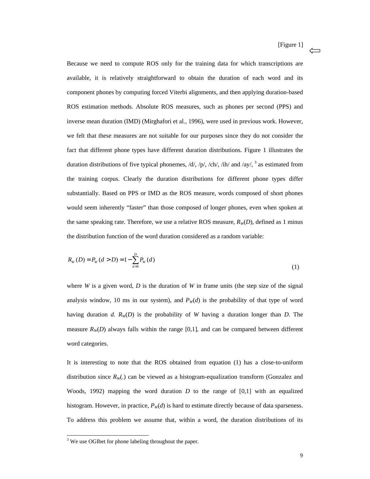Because we need to compute ROS only for the trainin g data for which transcriptions are available, it is relatively straightforward to obta in the duration of each word and its component phones by computing forced Viterbi alignm ents, and then applying duration-based ROS estimation methods. Absolute ROS measures, such as phones per second (PPS) and inversemeanduration (IMD) (Mirghaforietal., 199 6), were used in previous work. However, we felt that these measures are not suitable for ou r purposes since they do not consider the fact that different phone types have different dura tion distributions. Figure 1 illustrates the duration distributions of five typical phonemes,  $/d /$ ,  $\frac{1}{p}$ ,  $\frac{1}{p}$ ,  $\frac{1}{c}$  h $\frac{1}{\pi}$  and  $\frac{1}{a}$ y/, the training corpus. Clearly the duration distribut ions for different phone types differ substantially. Based on PPS or IMD as the ROS measu re, words composed of short phones would seem inherently "faster" than those composed of longer phones, even when spoken at the same speaking rate. Therefore, we use a relativ eROS measure,  $R_W(D)$ , defined as 1 minus the distribution function of the word duration cons idered as a random variable:

<sup>3</sup> as estimated from

$$
R_{W}(D) = P_{W}(d > D) = 1 - \sum_{d=0}^{D} P_{W}(d)
$$
\n(1)

where *W* is a given word, *D* is the duration of *W* in frame units (the step size of the signal analysis window, 10 ms in our system), and  $P_W(d)$  is the probability of that type of word having duration *d*. *RW*(*D*) is the probability of *W* having a duration longer than *D*. The measure  $R_W(D)$  always falls within the range [0,1], and can be c ompared between different wordcategories.

It is interesting to note that the ROS obtained fro m equation (1) has a close-to-uniform distribution since  $R_W$ .) can be viewed as a histogram-equalization transfo rm (Gonzalez and Woods, 1992) mapping the word duration *D* to the range of [0,1] with an equalized histogram. However, in practice,  $P_W(d)$  is hard to estimate directly because of dataspar seness. To address this problem we assume that, within a wo rd, the duration distributions of its

֘֒

<sup>&</sup>lt;sup>3</sup>WeuseOGIbetforphonelabelingthroughoutthepa per.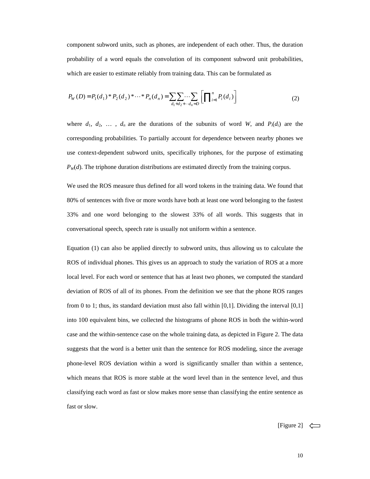component subword units, such as phones, are indepe ndent of each other. Thus, the duration probability of a word equals the convolution of its component subword unit probabilities, which are easier to estimate reliably from training data. This can be formulated as

$$
P_W(D) = P_1(d_1) * P_2(d_2) * \dots * P_n(d_n) = \sum_{d_1 + d_2 + \dots + d_n = D} \left[ \prod_{i=1}^n P_i(d_i) \right]
$$
(2)

where  $d_1, d_2, \ldots, d_n$  are the durations of the subunits of word *W*, and  $P_i(d_i)$  are the corresponding probabilities. To partially account f ordependence between nearby phones we use context-dependent subword units, specifically t riphones, for the purpose of estimating  $P_W(d)$ . The triphoneduration distributions are estimate ddirectly from the training corpus.

We used the ROS measure thus defined for all word t okens in the training data. We found that 80% of sentences with five or more words have both at least one word belonging to the fastest 33% and one word belonging to the slowest 33% of al l words. This suggests that in conversational speech, speech rate is usually not u niform within a sentence.

Equation (1) can also be applied directly to subwor d units, thus allowing us to calculate the ROS of individual phones. This gives us an approach to study the variation of ROS at a more local level. For each word or sentence that has at least two phones, we computed the standard deviation of ROS of all of its phones. From the def inition we see that the phone ROS ranges from 0 to 1; thus, its standard deviation must also fall within [0,1]. Dividing the interval [0,1] into 100 equivalent bins, we collected the histogra ms of phone ROS in both the within-word case and the within-sentence case on the whole trai ning data, as depicted in Figure 2. The data suggests that the word is a better unit than the se ntence for ROS modeling, since the average phone-level ROS deviation within a word is signific antly smaller than within a sentence, which means that  $ROS$  is more stable at the word lev el than in the sentence level, and thus classifying each word as fast or slow makes more sequences in seth and assifying the entire sentence as fastorslow.

[Figure 2]  $\leftharpoonup$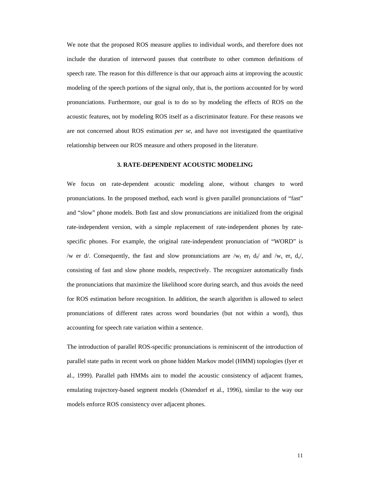We note that the proposed ROS measure applies to in dividual words, and therefore does not include the duration of interword pauses that contr ibute to other common definitions of speechrate. The reason for this difference is that our approach aims at improving the acoustic modeling of the speech portions of the signal only, that is, the portions accounted for by word pronunciations. Furthermore, our goal is to do so b y modeling the effects of ROS on the acoustic features, not by modeling ROS itself as a discriminator feature. For these reasons we are not concerned about ROS estimation *per se* , and have not investigated the quantitative relationship between our ROS measure and others pro posed in the literature.

#### **3. RATE-DEPENDENT ACOUSTIC MODELING**

We focus on rate-dependent acoustic modeling alone, without changes to word pronunciations. In the proposed method, each wordi sgiven parallel pronunciations of "fast" and "slow" phone models. Both fast and slow pronunc iations are initialized from the original rate-independent version, with a simple replacement of rate-independent phones by ratespecific phones. For example, the original rate-ind ependent pronunciation of "WORD" is /w  $er d$ . Consequently, the fast and slow pronuncia consisting of fast and slow phone models, respectiv ely. The recognizer automatically finds the pronunciations that maximize the likelihood sco re during search, and thus avoids the need for ROS estimation before recognition. In addition, the search algorithm is allowed to select pronunciations of different rates across word bound aries (but not within a word), thus accounting for speech rate variation within a sentence.

er  $_f$  d  $_f$  and /w  $_s$  er  $_s$  d  $_s$ /,

The introduction of parallel ROS-specific pronuncia tions is reminiscent of the introduction of parallel state paths in recent work on phone hidden Markov model (HMM) topologies (Iyer et al., 1999). Parallel path HMMs aim to model the aco ustic consistency of adjacent frames, emulating trajectory-based segment models (Ostendor f et al., 1996), similar to the way our models enforce ROS consistency over adjacent phones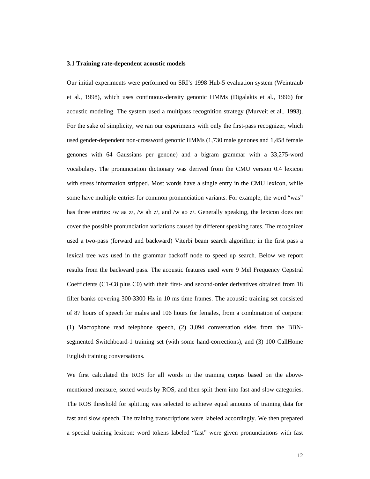#### **3.1 Training rate-dependent acoustic models**

Our initial experiments were performed on SRI's 199 8 Hub-5 evaluation system (Weintraub et al., 1998), which uses continuous-density genoni c HMMs (Digalakis et al., 1996) for acoustic modeling. The system used a multipass reco gnition strategy (Murveit et al., 1993). For the sake of simplicity, we ran our experiments with only the first-pass recognizer, which usedgender-dependent non-crossword genonic HMMs (1,730 male genones and 1,458 female genones with 64 Gaussians per genone) and a bigram grammar with a 33,275-word vocabulary. The pronunciation dictionary was derive d from the CMU version 0.4 lexicon with stress information stripped. Most words have a single entry in the CMU lexicon, while some have multiple entries for common pronunciation variants. For example, the word "was" has three entries: /w aa z/, /w ah z/, and /w ao z/ . Generally speaking, the lexicon does not cover the possible pronunciation variations caused by different speaking rates. The recognizer used a two-pass (forward and backward) Viterbi beam search algorithm; in the first pass a lexical tree was used in the grammar backoff node t o speed up search. Below we report results from the backward pass. The acoustic featur es used were 9 Mel Frequency Cepstral Coefficients (C1-C8 plus C0) with their first- and second-order derivatives obtained from 18 filter banks covering 300-3300 Hz in 10 ms time fra mes. The acoustic training set consisted of 87 hours of speech for males and 106 hours for f emales, from a combination of corpora: (1) Macrophone read telephone speech, (2) 3,094 con versation sides from the BBNsegmented Switchboard-1 training set (with some han d-corrections), and (3) 100 CallHome English training conversations.

We first calculated the ROS for all words in the tr aining corpus based on the abovementioned measure, sorted words by ROS, and then sp little minto fast and slow categories. The ROS threshold for splitting was selected to ach ieve equal amounts of training data for fast and slow speech. The training transcriptions w ere labeled accordingly. We then prepared a special training lexicon: word tokens labeled "fa st" were given pronunciations with fast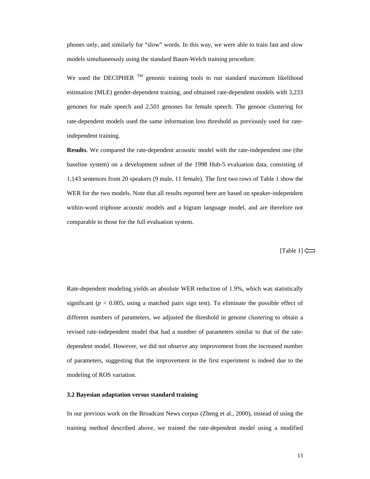phones only, and similarly for "slow" words. In thi s way, we were able to train fast and slow models simultaneously using the standard Baum-Welch training procedure.

We used the DECIPHER  $T^M$  genonic training tools to run standard maximum lik elihood estimation (MLE) gender-dependent training, and obt ained rate-dependent models with 3,233 genones for male speech and 2,501 genones for femal e speech. The genone clustering for rate-dependent models used the same information los s threshold as previously used for rateindependent training.

**Results**. We compared the rate-dependent acoustic model wit h the rate-independent one (the baseline system) on a development subset of the 199 8 Hub-5 evaluation data, consisting of 1,143 sentences from 20 speakers (9 male, 11 female ). The first two rows of Table 1 show the WER for the two models. Note that all results repor ted here are based on speaker-independent within-word triphone acoustic models and a bigram l anguage model, and are therefore not comparable to those for the full evaluations y stem.

 $[Table 1] \Leftrightarrow$ 

Rate-dependent modeling yields an absolute WER redu ction of 1.9%, which was statistically significant ( $p < 0.005$ , using a matched pairs sign test). To elim inate the possible effect of different numbers of parameters, we adjusted the the reshold in genone clustering to obtain a revised rate-independent model that had a number of parameters similar to that of the ratedependent model. However, we did not observe any im provement from the increased number of parameters, suggesting that the improvement in t he first experiment is indeed due to the modeling of ROS variation.

#### **3.2 Bayesian adaptation versus standard training**

In our previous work on the Broadcast News corpus (  $Z$  heng et al., 2000), instead of using the training method described above, we trained the rat e-dependent model using a modified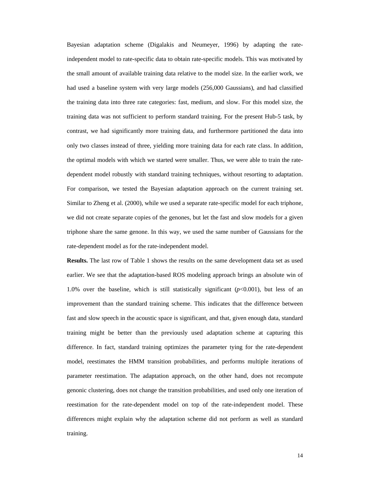Bayesian adaptation scheme (Digalakis and Neumeyer, 1996) by adapting the rateindependent model to rate-specific data to obtain r ate-specific models. This was motivated by the small amount of available training data relativ e to the model size. In the earlier work, we had used a baseline system with very large models ( 256,000 Gaussians), and had classified the training data into three rate categories: fast, medium, and slow. For this model size, the training data was not sufficient to perform standar d training. For the present Hub-5 task, by contrast, we had significantly more training data, and furthermore partitioned the data into only two classes instead of three, yielding more training data for each rate class. In addition, the optimal models with which we started were small er. Thus, we were able to train the ratedependent model robustly with standard training tec hniques, without resorting to adaptation. For comparison, we tested the Bayesian adaptation a pproach on the current training set. Similar to Zheng et al. (2000), while we used as epermies arate rate-specific model for each triphone, we did not create separate copies of the genones, b utlet the fast and slow models for a given triphone share the same genone. In this way, we use d the same number of Gaussians for the rate-dependent model as for the rate-independent model. **Results.** The last row of Table 1 shows the results on the same development dataset as used earlier. We see that the adaptation-based ROS model ing approach brings an absolute win of 1.0% over the baseline, which is still statisticall y significant ( $p$ <0.001), but less of an improvement than the standard training scheme. This indicates that the difference between fast and slow speech in the acoustic space is signi ficant, and that, given enough data, standard training might be better than the previously used a daptation scheme at capturing this difference. In fact, standard training optimizes th e parameter tying for the rate-dependent model, reestimates the HMM transition probabilities , and performs multiple iterations of parameter reestimation. The adaptation approach, on the other hand, does not recompute genonic clustering, does not change the transition probabilities, and used only one iteration of reestimation for the rate-dependent model on top of the rate-independent model. These

training.

differences might explain why the adaptation scheme did not perform as well as standard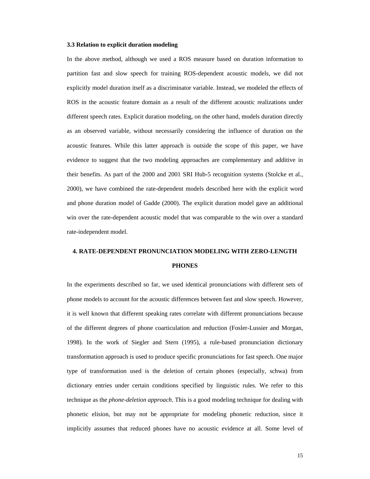#### **3.3 Relation to explicit duration modeling**

In the above method, although we used a ROS measure based on duration information to partition fast and slow speech for training ROS-dep endent acoustic models, we did not explicitly model duration itself as a discriminator variable. Instead, we modeled the effects of ROS in the acoustic feature domain as a result of the different acoustic realizations under different speech rates. Explicit duration modeling, on the other hand, models duration directly as an observed variable, without necessarily consid ering the influence of duration on the acoustic features. While this latter approach is ou tside the scope of this paper, we have evidence to suggest that the two modeling approache s are complementary and additive in their benefits. As part of the 2000 and 2001 SRI Hu b-5 recognition systems (Stolcke et al., 2000), we have combined the rate-dependent models d escribed here with the explicit word and phone duration model of Gadde (2000). The expli cit duration model gave an additional win over the rate-dependent acoustic model that was comparable to the win over a standard rate-independent model.

# **4. RATE-DEPENDENT PRONUNCIATION MODELING WITH ZERO- LENGTH PHONES**

In the experiments described so far, we used identi cal pronunciations with different sets of phone models to account for the acoustic difference sbetween fast and slow speech. However, it is well known that different speaking rates corr elate with different pronunciations because of the different degrees of phone coarticulation an d reduction (Fosler-Lussier and Morgan, 1998). In the work of Siegler and Stern (1995), a r ule-based pronunciation dictionary transformation approachis used to produce specific pronunciations for fast speech. One major type of transformation used is the deletion of cert ain phones (especially, schwa) from dictionary entries under certain conditions specifi ed by linguistic rules. We refer to this technique as the *phone-deletion approach* . This is a good modeling technique for dealing wit h phonetic elision, but may not be appropriate for mo deling phonetic reduction, since it implicitly assumes that reduced phones have no acou stic evidence at all. Some level of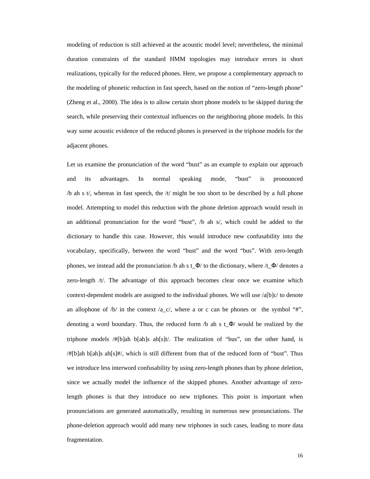modeling of reduction is still achieved at the acou stic model level; nevertheless, the minimal duration constraints of the standard HMM topologies may introduce errors in short realizations, typically for the reduced phones. Her e, we propose a complementary approach to the modeling of phonetic reduction in fast speech, based on the notion of "zero-length phone" (Zheng et al., 2000). The idea is to allow certain short phone models to be skipped during the search, while preserving their contextual influence s on the neighboring phone models. In this way some acoustic evidence of the reduced phones is preserved in the triphone models for the two sets of the triphone models for the triphone models for the triphone models for the triphone models for the triphone models f adjacent phones.

Let us examine the pronunciation of the word "bust" as an example to explain our approach and its advantages. In normal speaking mode, "bust" is pronounced  $/b$  ah s t/, whereas in fast speech, the  $/t$  might b etoo short to be described by a full phone model. Attempting to model this reduction with the phone deletion approach would result in an additional pronunciation for the word "bust",  $/b$  ah s/, which could be added to the dictionary to handle this case. However, this would introduce new confusability into the vocabulary, specifically, between the word "bust" a nd the word "bus". With zero-length phones, we instead add the pronunciation /b ah s t\_ Φ/ to the dictionary, where /t\_ Φ/ denotes a zero-length  $/t$ . The advantage of this approach bec omes clear once we examine which context-dependent models are assigned to the individual phones. We will use /a[b]c/ to denote an allophone of /b/ in the context /a\_c/, where a o r c can be phones or the symbol "#", denoting a word boundary. Thus, the reduced form  $/b$  ah s t\_  $\Phi$ / would be realized by the triphone models /#[b]ah b[ah]s ah[s]t/. The realiza tion of "bus", on the other hand, is /#[b]ah b[ah]s ah[s]#/, which is still different fr om that of the reduced form of "bust". Thus we introduce less interword confusability by using zero-length phones than by phone deletion, since we actually model the influence of the skippe d phones. Another advantage of zerolength phones is that they introduce no new triphon es. This point is important when pronunciations are generated automatically, resulti ng in numerous new pronunciations. The phone-deletion approach would add many new triphone s in such cases, leading to more data fragmentation.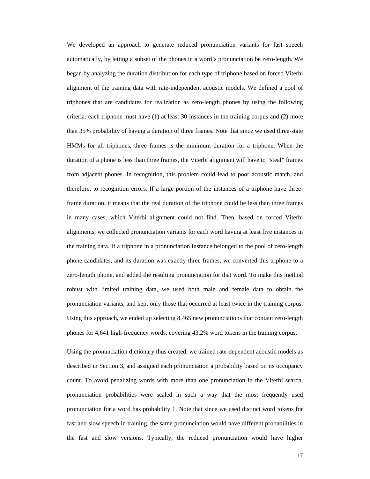We developed an approach to generate reduced pronun ciation variants for fast speech automatically, by letting a subset of the phones in a word's pronunciation be zero-length. We began by analyzing the duration distribution for ea ch type of triphone based on forced Viterbi alignment of the training data with rate-independen tacoustic models. We defined a pool of triphones that are candidates for realization as ze ro-length phones by using the following criteria: each triphone must have (1) at least 30 i nstances in the training corpus and (2) more than 35% probability of having a duration of three frames. Note that since we used three-state HMMs for all triphones, three frames is the minimum duration for a triphone. When the duration of a phone is less than three frames, the Viterbialignment will have to "steal" frames from adjacent phones. In recognition, this problem could lead to poor acoustic match, and therefore, to recognition errors. If a large portio n of the instances of a triphone have threeframe duration, it means that the real duration of the triphone could be less than three frames in many cases, which Viterbi alignment could not find. Then, based on forced Viterbi alignments, we collected pronunciation variants for each word having at least five instances in the training data. If a triphone in a pronunciation instance belonged to the pool of zero-length phone candidates, and its duration was exactly thre e frames, we converted this triphone to a zero-length phone, and added the resulting pronunci ation for that word. To make this method robust with limited training data, we used both mal e and female data to obtain the pronunciation variants, and kept only those that occurred at least twice in the training corpus. Using this approach, we ended up selecting 8,465 ne w pronunciations that contain zero-length phones for 4,641 high-frequency words, covering 43. 2% word to kens in the training corpus.

Using the pronunciation dictionary thus created, we trained rate-dependent acoustic models as described in Section 3, and assigned each pronuncia tion a probability based on its occupancy count. To avoid penalizing words with more than one pronunciation in the Viterbi search, pronunciation probabilities were scaled in such a w ay that the most frequently used pronunciation for a word has probability 1. Note th at since we used distinct word tokens for fast and slow speech in training, the same pronunci ation would have different probabilities in the fast and slow versions. Typically, the reduced pronunciation would have higher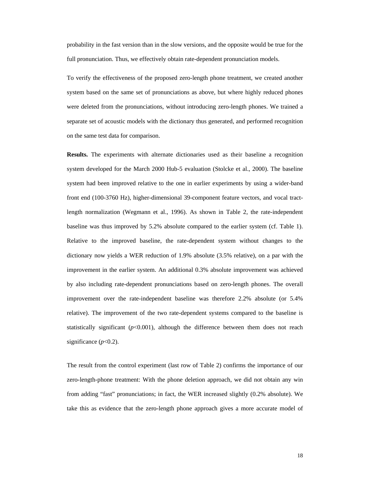probability in the fast version than in the slow ve rsions, and the opposite would be true for the full pronunciation. Thus, we effectively obtain rat e-dependent pronunciation models.

To verify the effectiveness of the proposed zero-le ngth phone treatment, we created another system based on the same set of pronunciations as a bove, but where highly reduced phones were deleted from the pronunciations, without intro ducing zero-length phones. We trained a separate set of acoustic models with the dictionary thus generated, and performed recognition on the same test data for comparison.

**Results.** The experiments with alternate dictionaries used as their baseline a recognition system developed for the March 2000 Hub-5 evaluatio n (Stolcke et al., 2000). The baseline system had been improved relative to the one in ear lier experiments by using a wider-band front end (100-3760 Hz), higher-dimensional 39-comp onent feature vectors, and vocal tractlength normalization (Wegmann et al., 1996). As sho wn in Table 2, the rate-independent baseline was thus improved by 5.2% absolute compare d to the earlier system (cf. Table 1). Relative to the improved baseline, the rate-depende nt system without changes to the dictionary now yields a WER reduction of 1.9% absol ute (3.5% relative), on a par with the improvement in the earlier system. An additional 0. 3% absolute improvement was achieved by also including rate-dependent pronunciations bas ed on zero-length phones. The overall improvement over the rate-independent baseline was therefore 2.2% absolute (or 5.4% relative). The improvement of the two rate-dependen t systems compared to the baseline is statistically significant  $(p<0.001)$ , although the difference between them does not reach significance  $p<0.2$ ).

The result from the control experiment (last row of Table 2) confirms the importance of our zero-length-phone treatment: With the phone deletio n approach, we did not obtain any win from adding "fast" pronunciations; in fact, the WER increased slightly (0.2% absolute). We take this as evidence that the zero-length phone ap proach gives a more accurate model of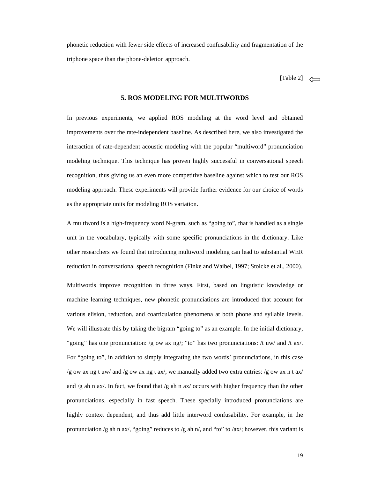phonetic reduction with fewer side effects of incre ased confusability and fragmentation of the triphone space than the phone-deletion approach.

[Table2]

#### **5. ROS MODELING FOR MULTIWORDS**

In previous experiments, we applied ROS modeling at the word level and obtained improvements over the rate-independent baseline. As described here, we also investigated the interaction of rate-dependent acoustic modeling wit h the popular "multiword" pronunciation modeling technique. This technique has proven highl y successful in conversational speech recognition, thus giving us an even more competitiv ebaseline against which to test our ROS modeling approach. These experiments will provide f urther evidence for our choice of words as the appropriate units for modeling ROS variation

A multiword is a high-frequency word N-gram, such a s "going to", that is handled as a single unit in the vocabulary, typically with some specifi c pronunciations in the dictionary. Like other researchers we found that introducing multiwo rd modeling can lead to substantial WER reduction in conversational speech recognition (Fin ke and Waibel, 1997; Stolcke et al., 2000). Multiwords improve recognition in three ways. First , based on linguistic knowledge or machine learning techniques, new phonetic pronuncia tions are introduced that account for various elision, reduction, and coarticulation phen omena at both phone and syllable levels. We will illustrate this by taking the bigram "going to" as an example. In the initial dictionary, "going" has one pronunciation: /g ow  $axng$ /; "to" h as two pronunciations: /t uw/ and /t ax/. For "going to", in addition to simply integrating the two words' pronunciations, in this case /gowaxngtuw/and/gowaxngtax/,wemanuall yadded two extraentries:/gowaxntax/ and/gahnax/.Infact, we found that/gahnax/ occurs with higher frequency than the other pronunciations, especially in fast speech. These sp ecially introduced pronunciations are highly context dependent, and thus add little inter word confusability. For example, in the pronunciation/gahnax/, "going" reduces to /gah  $n$ /, and "to" to /ax/; however, this variant is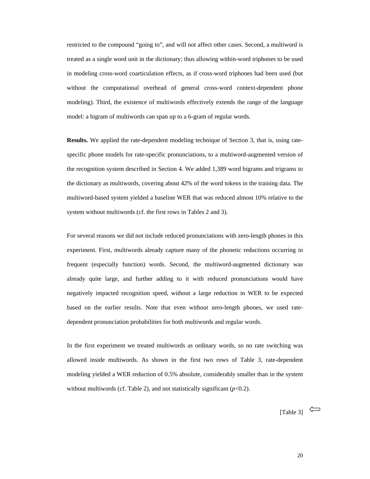restricted to the compound "going to", and will not affect other cases. Second, a multiword is treated as a single word unit in the dictionary; the useal lowing within-word triphones to be used in modeling cross-word coarticulation effects, as i f cross-word triphones had been used (but without the computational overhead of general cross -word context-dependent phone modeling). Third, the existence of multiwords effec tively extends the range of the language model: a bigram of multiwords can span up to a 6-gr am of regular words.

**Results.** We applied the rate-dependent modeling technique o f Section 3, that is, using ratespecific phone models for rate-specific pronunciations, to a multiword-augmented version of the recognition system described in Section 4. We a dded 1,389 word bigrams and trigrams to the dictionary as multiwords, covering about 42% of the word tokens in the training data. The multiword-based system yielded a baseline WER that was reduced almost 10% relative to the system without multiwords (cf. the first rows in Ta bles 2 and 3).

For several reasons we didnot include reduced pron unciations with zero-length phones in this experiment. First, multiwords already capture many of the phonetic reductions occurring in frequent (especially function) words. Second, the m ultiword-augmented dictionary was already quite large, and further adding to it with reduced pronunciations would have negatively impacted recognition speed, without a la rge reduction in WER to be expected based on the earlier results. Note that even withou t zero-length phones, we used ratedependent pronunciation probabilities for both mult iwords and regular words.

In the first experiment we treated multiwords as or dinary words, so no rate switching was allowed inside multiwords. As shown in the first tw o rows of Table 3, rate-dependent modeling yielded a WER reduction of 0.5% absolute, considerably smaller than in the system without multiwords (cf. Table 2), and not statistic ally significant ( $p < 0.2$ ).

[Table3]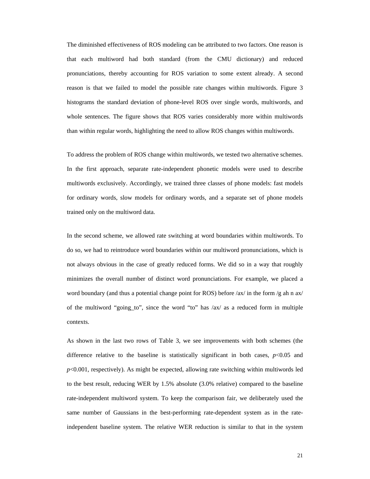The diminished effectiveness of ROS modeling can be attributed to two factors. One reason is that each multiword had both standard (from the CMU dictionary) and reduced pronunciations, thereby accounting for ROS variatio n to some extent already. A second reason is that we failed to model the possible rate changes within multiwords. Figure 3 histograms the standard deviation of phone-level RO S over single words, multiwords, and whole sentences. The figure shows that ROS varies c onsiderably more within multiwords than within regular words, highlighting the need to allow ROS changes within multiwords.

To address the problem of ROS change within multiwo rds, we tested two alternative schemes. In the first approach, separate rate-independent ph onetic models were used to describe multiwords exclusively. Accordingly, we trained thr eeclasses of phone models: fast models for ordinary words, slow models for ordinary words, and a separate set of phone models trained only on the multiword data.

In the second scheme, we allowed rate switching at word boundaries within multiwords. To doso, we had to reintroduce word boundaries within our multiword pronunciations, which is not always obvious in the case of greatly reduced f orms. We did so in a way that roughly minimizes the overall number of distinct word pronu nciations. For example, we placed a wordboundary (and thus a potential change point fo rROS) before /ax/in the form/g ah n ax/ of the multiword "going\_to", since the word "to" ha  $s / ax / as$  a reduced form in multiple contexts.

As shown in the last two rows of Table 3, we see im provements with both schemes (the difference relative to the baseline is statisticall y significant in both cases,  $p<0.05$  and *p*<0.001, respectively). As might be expected, allowi ngrates witching within multiwords led to the best result, reducing WER by 1.5% absolute ( 3.0% relative) compared to the baseline rate-independent multiword system. To keep the comp arison fair, we deliberately used the same number of Gaussians in the best-performing rat e-dependent system as in the rateindependent baseline system. The relative WER reduc tion is similar to that in the system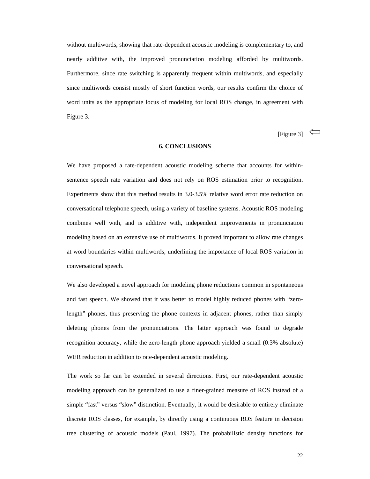without multiwords, showing that rate-dependent aco ustic modeling is complementary to, and nearly additive with, the improved pronunciation mo deling afforded by multiwords. Furthermore, since rate switching is apparently fre quent within multiwords, and especially since multiwords consist mostly of short function w ords, our results confirm the choice of word units as the appropriate locus of modeling for local ROS change, in agreement with Figure 3.

[Figure 3]

 $\Leftarrow$ 

### **6. CONCLUSIONS**

We have proposed a rate-dependent acoustic modeling scheme that accounts for withinsentence speech rate variation and does not rely on ROS estimation prior to recognition. Experiments show that this method results in 3.0-3. 5% relative word error rate reduction on conversational telephone speech, using a variety of baseline systems. Acoustic ROS modeling combines well with, and is additive with, independe nt improvements in pronunciation modeling based on an extensive use of multiwords. I troved important to allow rate changes at word boundaries within multiwords, underlining t he importance of local ROS variation in conversational speech.

We also developed a novel approach for modeling phomonent ereductions common in spontaneous and fast speech. We showed that it was better to mo del highly reduced phones with "zerolength" phones, thus preserving the phone contexts in adjacent phones, rather than simply deleting phones from the pronunciations. The latter approach was found to degrade recognition accuracy, while the zero-length phone a pproach yielded a small (0.3% absolute) WER reduction in addition to rate-dependent acousti cmodeling.

The work so far can be extended in several directio ns. First, our rate-dependent acoustic modeling approach can be generalized to use a finer -grained measure of ROS instead of a simple "fast" versus "slow" distinction. Eventually , it would be desirable to entirely eliminate discrete ROS classes, for example, by directly usin g a continuous ROS feature in decision tree clustering of acoustic models (Paul, 1997). Th e probabilistic density functions for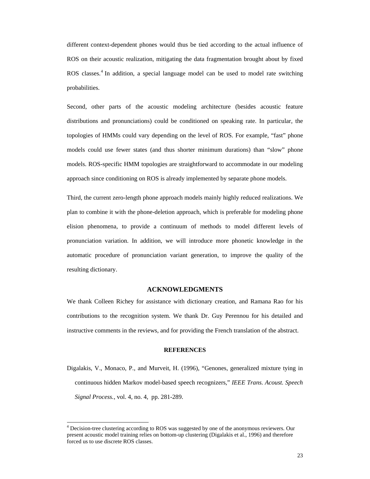different context-dependent phones would thus be ti ed according to the actual influence of ROS on their acoustic realization, mitigating the d ata fragmentation brought about by fixed ROS classes. <sup>4</sup>In addition, a special language model can be used to model rate switching probabilities.

Second, other parts of the acoustic modeling archit ecture (besides acoustic feature distributions and pronunciations) could be conditio ned on speaking rate. In particular, the topologies of HMMs could vary depending on the leve l of ROS. For example, "fast" phone models could use fewer states (and thus shorter min imum durations) than "slow" phone models. ROS-specific HMM topologies are straightfor ward to accommodate in our modeling approach since conditioning on ROS is already imple mented by separate phone models.

Third, the current zero-length phone approach model s mainly highly reduced realizations. We plan to combine it with the phone-deletion approach , which is preferable for modeling phone elision phenomena, to provide a continuum of method s to model different levels of pronunciation variation. In addition, we will intro duce more phonetic knowledge in the automatic procedure of pronunciation variant genera tion, to improve the quality of the resulting dictionary.

# **ACKNOWLEDGMENTS**

We thank Colleen Richey for assistance with diction ary creation, and Ramana Rao for his contributions to the recognition system. We thank D r. Guy Perennou for his detailed and instructive comments in the reviews, and for provid ing the French translation of the abstract.

#### **REFERENCES**

Digalakis, V., Monaco, P., and Murveit, H. (1996), "Genones, generalized mixture tying in continuous hidden Markov model-based speech recogni zers," *IEEE Trans. Acoust. Speech SignalProcess.*, vol.4, no.4, pp. 281-289.

<sup>4</sup>Decision-treeclusteringaccordingtoROSwassugg estedbyoneoftheanonymousreviewers.Our present acoustic model training relies on bottom-up clustering (Digalakis et al., 1996) and therefore forcedustousediscreteROS classes.

֘֒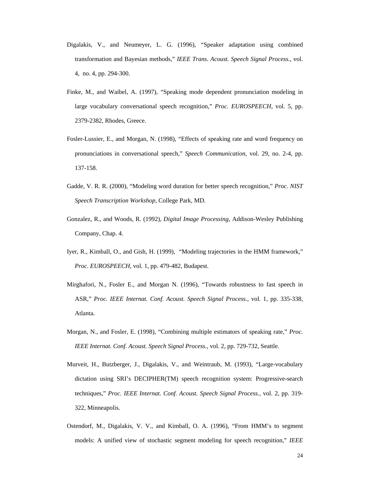- Digalakis, V., and Neumeyer, L. G. (1996), "Speaker adaptation using combined transformation and Bayesian methods," *IEEE Trans. Acoust. Speech Signal Process.,* vol. 4, no. 4, pp. 294-300.
- Finke, M., and Waibel, A. (1997), "Speaking mode de pendent pronunciation modeling in large vocabulary conversational speech recognition, " *Proc. EUROSPEECH* , vol. 5, pp. 2379-2382, Rhodes, Greece.
- Fosler-Lussier, E., and Morgan, N. (1998), "Effects of speaking rate and word frequency on pronunciations in conversational speech," *Speech Communication* , vol. 29, no. 2-4, pp. 137-158.
- Gadde, V. R. R. (2000), "Modeling word duration for better speech recognition," *Proc. NIST SpeechTranscriptionWorkshop* , CollegePark, MD.
- Gonzalez, R., and Woods, R. (1992), *Digital Image Processing* , Addison-Wesley Publishing Company, Chap. 4.
- Iyer, R., Kimball, O., and Gish, H. (1999), "Model ing trajectories in the HMM framework," *Proc. EUROSPEECH* , vol. 1, pp. 479-482, Budapest.
- Mirghafori, N., Fosler E., and Morgan N. (1996), "T owards robustness to fast speech in ASR," *Proc. IEEE Internat. Conf. Acoust. Speech Signal Process. ,* vol. 1, pp. 335-338, Atlanta.
- Morgan, N., and Fosler, E. (1998), "Combining multi ple estimators of speaking rate," *Proc. IEEE Internat. Conf. Acoust. Speech Signal Process. ,* vol. 2, pp. 729-732, Seattle.
- Murveit, H., Butzberger, J., Digalakis, V., and Wei ntraub, M. (1993), "Large-vocabulary dictation using SRI's DECIPHER(TM) speech recogniti on system: Progressive-search techniques," *Proc. IEEE Internat. Conf. Acoust. Speech Signal Process. ,* vol. 2, pp. 319- 322, Minneapolis.
- Ostendorf, M., Digalakis, V. V., and Kimball, O. A. (1996), "From HMM's to segment models: A unified view of stochastic segment modeli ng for speech recognition," *IEEE*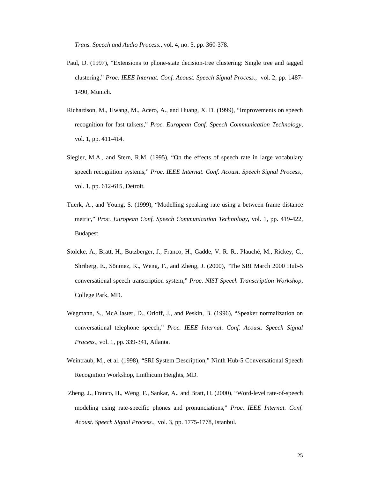*Trans. Speech and Audio Process.* , vol. 4, no. 5, pp. 360-378.

- Paul, D. (1997), "Extensions to phone-state decisio n-tree clustering: Single tree and tagged clustering," *Proc. IEEE Internat. Conf. Acoust. Speech Signal Process. ,* vol. 2, pp. 1487- 1490, Munich.
- Richardson, M., Hwang, M., Acero, A., and Huang, X. D. (1999), "Improvements on speech recognition for fast talkers," *Proc. European Conf. Speech Communication Technolog y*, vol. 1, pp. 411-414.
- Siegler, M.A., and Stern, R.M. (1995), "On the effe cts of speech rate in large vocabulary speech recognition systems," *Proc*. *IEEE Internat. Conf. Acoust. Speech Signal Process.* , vol.1, pp. 612-615, Detroit.
- Tuerk, A., and Young, S. (1999), "Modelling speakin g rate using a between frame distance metric," *Proc. European Conf. Speech Communication Technolog y*, vol. 1, pp. 419-422, Budapest.
- Stolcke, A., Bratt, H., Butzberger, J., Franco, H., Gadde, V. R. R., Plauché, M., Rickey, C., Shriberg, E., Sönmez, K., Weng, F., and Zheng, J. ( 2000), "The SRI March 2000 Hub-5 conversational speech transcription system," *Proc*. *NIST Speech Transcription Workshop* , CollegePark, MD.
- Wegmann, S., McAllaster, D., Orloff, J., and Peskin , B. (1996), "Speaker normalization on conversational telephone speech," *Proc. IEEE Internat. Conf. Acoust. Speech Signal Process.,* vol. 1, pp. 339-341, Atlanta.
- Weintraub, M., et al. (1998), "SRI System Descripti on," Ninth Hub-5 Conversational Speech Recognition Workshop, Linthicum Heights, MD.
- Zheng, J., Franco, H., Weng, F., Sankar, A., and Br att, H. (2000), "Word-level rate-of-speech modeling using rate-specific phones and pronunciati ons," *Proc. IEEE Internat. Conf. Acoust. Speech Signal Process.,* vol. 3, pp. 1775-1778, Istanbul.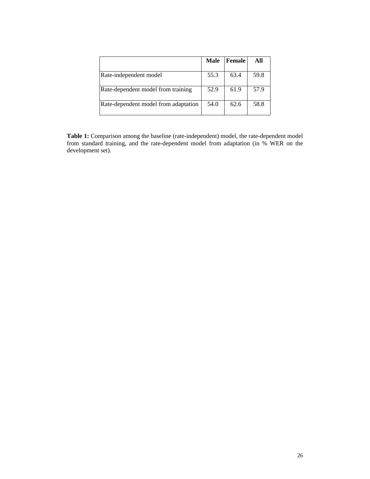|                                      | Male Female |      | All  |
|--------------------------------------|-------------|------|------|
| Rate-independentmodel                | 55.3        | 63.4 | 59.8 |
| Rate-dependentmodelfromtraining      | 52.9        | 61.9 | 57.9 |
| Rate-dependent model from adaptation | 54.0        | 62.6 | 58.8 |

Table 1: Comparison among the baseline (rate-independent) m odel, the rate-dependent model from standard training, and the rate-dependent mode l from adaptation (in % WER on the developmentset).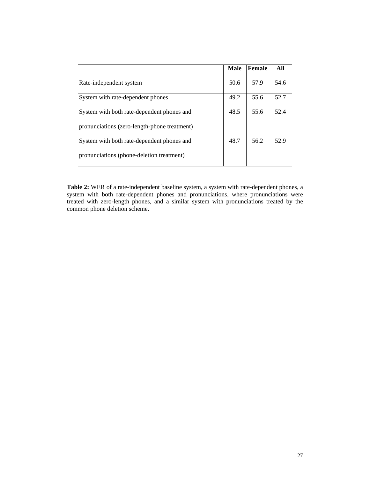|                                            | <b>Male</b> | Female | All  |
|--------------------------------------------|-------------|--------|------|
| Rate-independentsystem                     | 50.6        | 57.9   | 54.6 |
| Systemwithrate-dependentphones             | 49.2        | 55.6   | 52.7 |
| Systemwithbothrate-dependentphonesand      | 48.5        | 55.6   | 52.4 |
| pronunciations(zero-length-phonetreatment) |             |        |      |
| Systemwithbothrate-dependentphonesand      | 48.7        | 56.2   | 52.9 |
| pronunciations(phone-deletiontreatment)    |             |        |      |

Table 2: WER of a rate-independent baselinesystem, a system must have dependent phones, a system with both rate-dependent phones and pronuncial ations, where pronunciations were system with both rate-dependent phones and pronunci ations, where pronunciations were treated with zero-length phones, and a similar syst em with pronunciations treated by the common phone deletion scheme.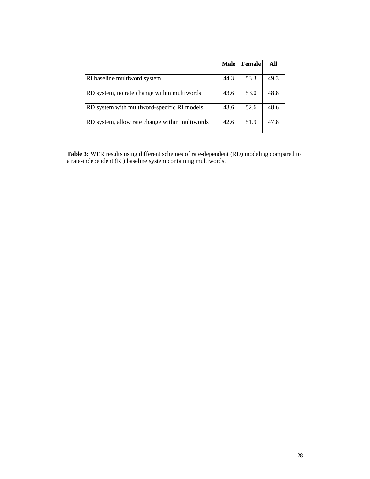|                                              | <b>Male</b> | Female | All  |
|----------------------------------------------|-------------|--------|------|
| RIbaselinemultiwordsystem                    | 44.3        | 53.3   | 49.3 |
| RDsystem, norate change within multiwords    | 53<br>43.6  | .0     | 48.8 |
| RDsystemwithmultiword-specificRImodels       | 43.6        | 52.6   | 48.6 |
| RDsystem, allowrate change within multiwords | 42.6        | 51.9   | 47.8 |

Table 3: WER results using different schemes of rate-depende nt (RD) modeling compared to  $arate-independent (RI) base linesystem containing multiwords.$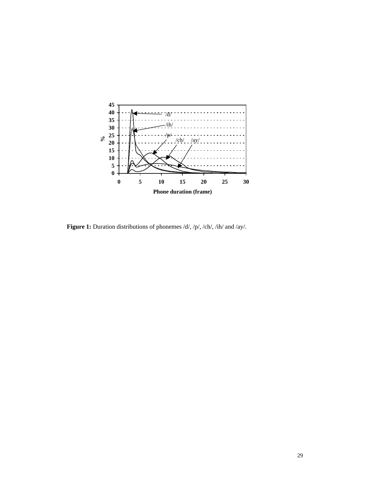

Figure 1: Duration distributions of phonemes/d/,/p/,/ch/, /ih/and/ay/.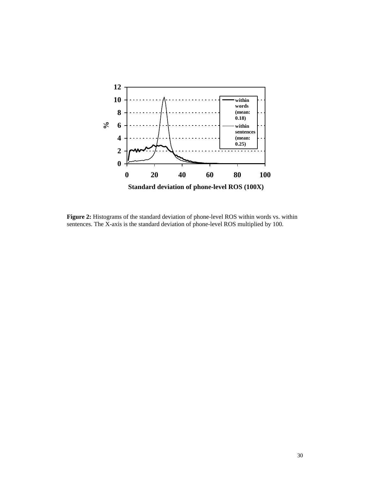

**Figure 2:** Histograms of the standard deviation of phone-level IROS within words vs. within sentences. The X-axis is the standard deviation of phone-level ROS multiplied by 100. sentences. The X-axis is the standard deviation of